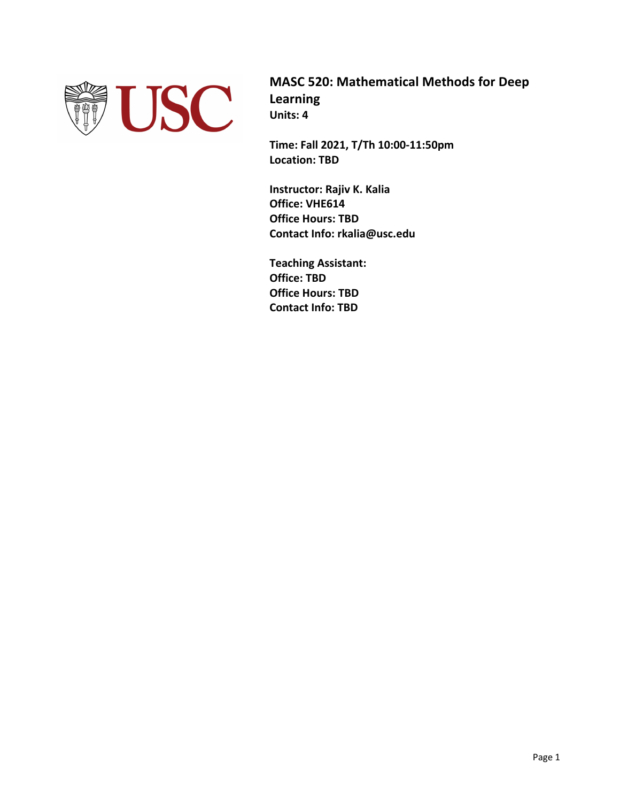

**MASC 520: Mathematical Methods for Deep Learning Units: 4**

**Time: Fall 2021, T/Th 10:00-11:50pm Location: TBD**

**Instructor: Rajiv K. Kalia Office: VHE614 Office Hours: TBD Contact Info: rkalia@usc.edu**

**Teaching Assistant: Office: TBD Office Hours: TBD Contact Info: TBD**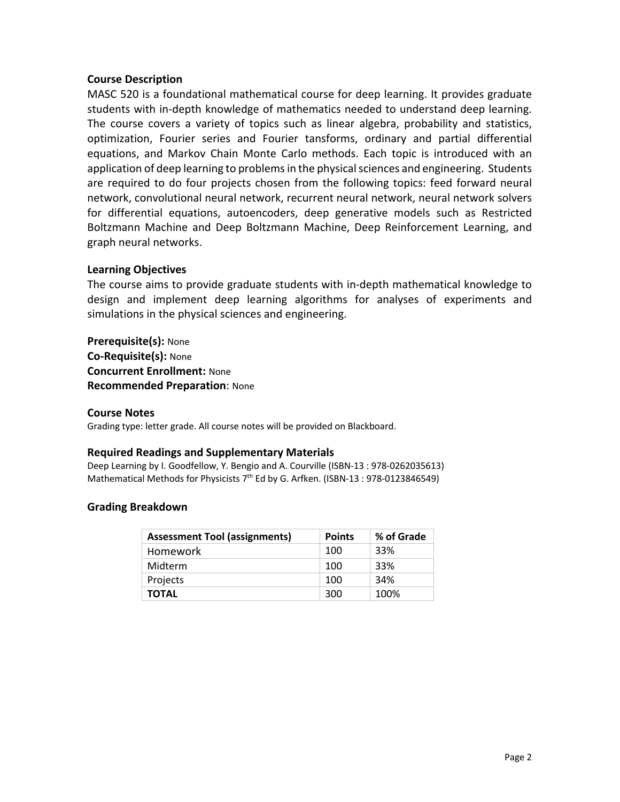# **Course Description**

MASC 520 is a foundational mathematical course for deep learning. It provides graduate students with in-depth knowledge of mathematics needed to understand deep learning. The course covers a variety of topics such as linear algebra, probability and statistics, optimization, Fourier series and Fourier tansforms, ordinary and partial differential equations, and Markov Chain Monte Carlo methods. Each topic is introduced with an application of deep learning to problems in the physical sciences and engineering. Students are required to do four projects chosen from the following topics: feed forward neural network, convolutional neural network, recurrent neural network, neural network solvers for differential equations, autoencoders, deep generative models such as Restricted Boltzmann Machine and Deep Boltzmann Machine, Deep Reinforcement Learning, and graph neural networks.

# **Learning Objectives**

The course aims to provide graduate students with in-depth mathematical knowledge to design and implement deep learning algorithms for analyses of experiments and simulations in the physical sciences and engineering.

**Prerequisite(s):** None **Co-Requisite(s):** None **Concurrent Enrollment:** None **Recommended Preparation**: None

## **Course Notes**

Grading type: letter grade. All course notes will be provided on Blackboard.

### **Required Readings and Supplementary Materials**

Deep Learning by I. Goodfellow, Y. Bengio and A. Courville (ISBN-13 : 978-0262035613) Mathematical Methods for Physicists  $7<sup>th</sup>$  Ed by G. Arfken. (ISBN-13: 978-0123846549)

# **Grading Breakdown**

| <b>Assessment Tool (assignments)</b> | <b>Points</b> | % of Grade |
|--------------------------------------|---------------|------------|
| Homework                             | 100           | 33%        |
| Midterm                              | 100           | 33%        |
| Projects                             | 100           | 34%        |
| TOTAL                                | 300           | 100%       |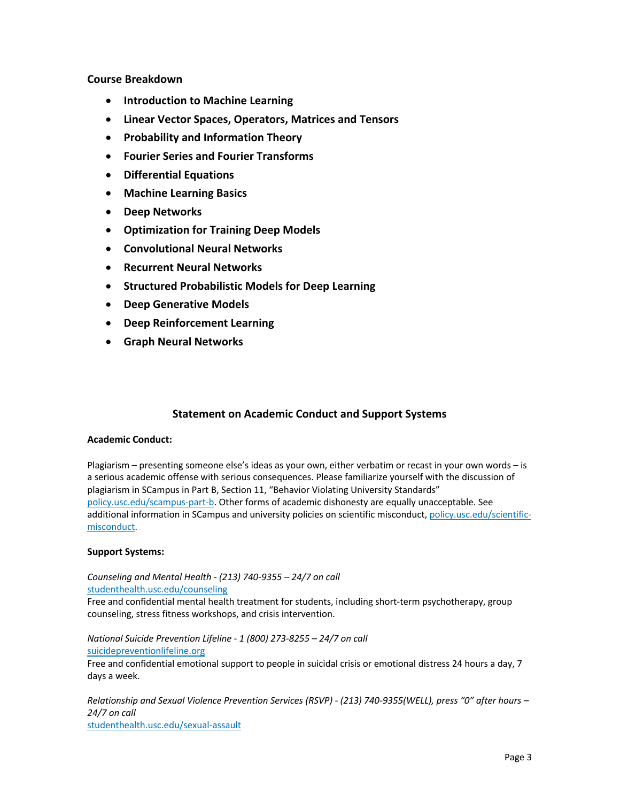## **Course Breakdown**

- **Introduction to Machine Learning**
- **Linear Vector Spaces, Operators, Matrices and Tensors**
- **Probability and Information Theory**
- **Fourier Series and Fourier Transforms**
- **Differential Equations**
- **Machine Learning Basics**
- **Deep Networks**
- **Optimization for Training Deep Models**
- **Convolutional Neural Networks**
- **Recurrent Neural Networks**
- **Structured Probabilistic Models for Deep Learning**
- **Deep Generative Models**
- **Deep Reinforcement Learning**
- **Graph Neural Networks**

# **Statement on Academic Conduct and Support Systems**

## **Academic Conduct:**

Plagiarism – presenting someone else's ideas as your own, either verbatim or recast in your own words – is a serious academic offense with serious consequences. Please familiarize yourself with the discussion of plagiarism in SCampus in Part B, Section 11, "Behavior Violating University Standards" policy.usc.edu/scampus-part-b. Other forms of academic dishonesty are equally unacceptable. See additional information in SCampus and university policies on scientific misconduct, policy.usc.edu/scientificmisconduct.

### **Support Systems:**

*Counseling and Mental Health - (213) 740-9355 – 24/7 on call* studenthealth.usc.edu/counseling

Free and confidential mental health treatment for students, including short-term psychotherapy, group counseling, stress fitness workshops, and crisis intervention.

*National Suicide Prevention Lifeline - 1 (800) 273-8255 – 24/7 on call* suicidepreventionlifeline.org Free and confidential emotional support to people in suicidal crisis or emotional distress 24 hours a day, 7 days a week.

*Relationship and Sexual Violence Prevention Services (RSVP) - (213) 740-9355(WELL), press "0" after hours – 24/7 on call* studenthealth.usc.edu/sexual-assault